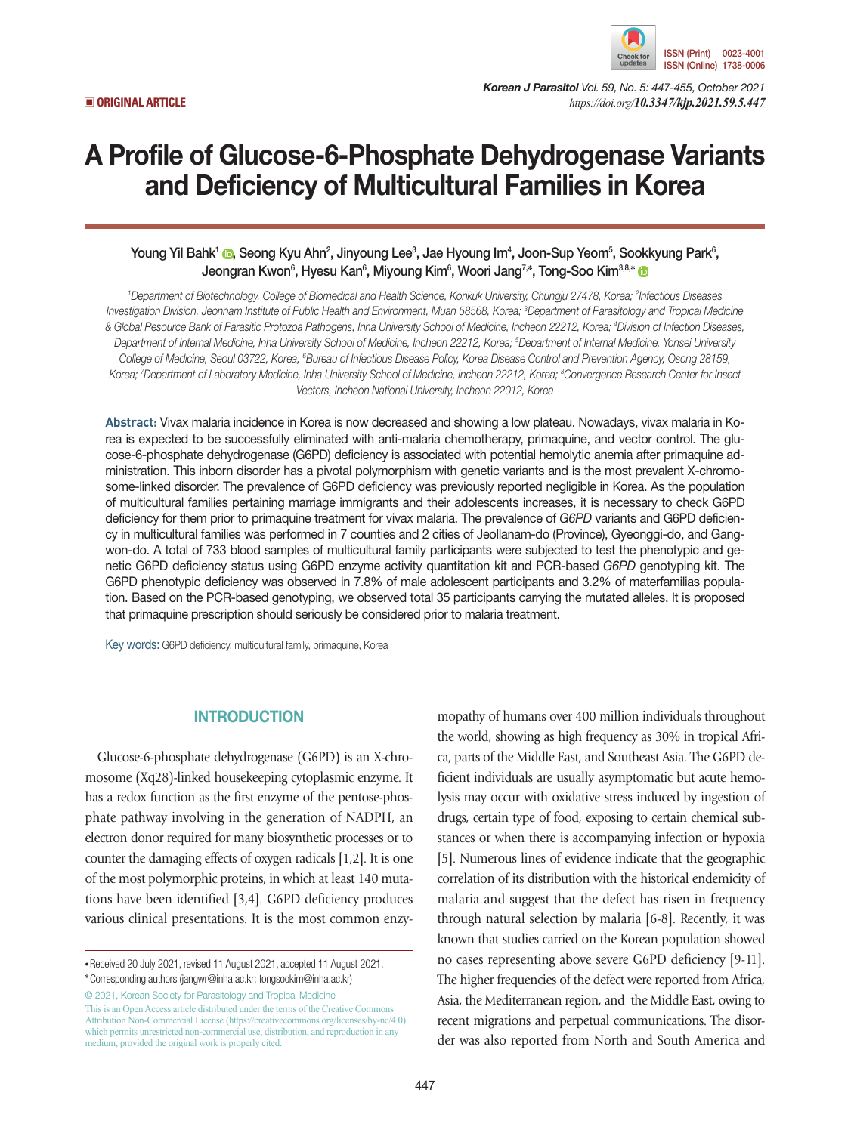

*Korean J Parasitol Vol. 59, No. 5: 447-455, October 2021* ▣ **ORIGINAL ARTICLE** *https://doi.org/10.3347/kjp.2021.59.5.447*

# A Profile of Glucose-6-Phosphate Dehydrogenase Variants and Deficiency of Multicultural Families in Korea

# Young Yil Bahk<sup>1</sup> ©[,](https://orcid.org/0000-0002-8419-4767) Seong Kyu Ahn<sup>2</sup>, Jinyoung Lee<sup>3</sup>, Jae Hyoung Im<sup>4</sup>, Joon-Sup Yeom<sup>5</sup>, Sookkyung Park<sup>6</sup>, Jeongran Kwon<sup>6</sup>, Hyesu Kan<sup>6</sup>, Miyoung Kim<sup>6</sup>, Woori Jang<sup>7,</sup>\*, Tong-Soo Kim<sup>3,8,</sup>\*

*1 Department of Biotechnology, College of Biomedical and Health Science, Konkuk University, Chungju 27478, Korea; 2 Infectious Diseases Investigation Division, Jeonnam Institute of Public Health and Environment, Muan 58568, Korea; 3 Department of Parasitology and Tropical Medicine & Global Resource Bank of Parasitic Protozoa Pathogens, Inha University School of Medicine, Incheon 22212, Korea; 4 Division of Infection Diseases,*  Department of Internal Medicine, Inha University School of Medicine, Incheon 22212, Korea; <sup>s</sup>Department of Internal Medicine, Yonsei University College of Medicine, Seoul 03722, Korea; <sup>s</sup>Bureau of Infectious Disease Policy, Korea Disease Control and Prevention Agency, Osong 28159, *Korea; 7 Department of Laboratory Medicine, Inha University School of Medicine, Incheon 22212, Korea; 8 Convergence Research Center for Insect Vectors, Incheon National University, Incheon 22012, Korea*

**Abstract:** Vivax malaria incidence in Korea is now decreased and showing a low plateau. Nowadays, vivax malaria in Korea is expected to be successfully eliminated with anti-malaria chemotherapy, primaquine, and vector control. The glucose-6-phosphate dehydrogenase (G6PD) deficiency is associated with potential hemolytic anemia after primaquine administration. This inborn disorder has a pivotal polymorphism with genetic variants and is the most prevalent X-chromosome-linked disorder. The prevalence of G6PD deficiency was previously reported negligible in Korea. As the population of multicultural families pertaining marriage immigrants and their adolescents increases, it is necessary to check G6PD deficiency for them prior to primaquine treatment for vivax malaria. The prevalence of *G6PD* variants and G6PD deficiency in multicultural families was performed in 7 counties and 2 cities of Jeollanam-do (Province), Gyeonggi-do, and Gangwon-do. A total of 733 blood samples of multicultural family participants were subjected to test the phenotypic and genetic G6PD deficiency status using G6PD enzyme activity quantitation kit and PCR-based *G6PD* genotyping kit. The G6PD phenotypic deficiency was observed in 7.8% of male adolescent participants and 3.2% of materfamilias population. Based on the PCR-based genotyping, we observed total 35 participants carrying the mutated alleles. It is proposed that primaquine prescription should seriously be considered prior to malaria treatment.

Key words: G6PD deficiency, multicultural family, primaquine, Korea

# **INTRODUCTION**

Glucose-6-phosphate dehydrogenase (G6PD) is an X-chromosome (Xq28)-linked housekeeping cytoplasmic enzyme. It has a redox function as the first enzyme of the pentose-phosphate pathway involving in the generation of NADPH, an electron donor required for many biosynthetic processes or to counter the damaging effects of oxygen radicals [1,2]. It is one of the most polymorphic proteins, in which at least 140 mutations have been identified [3,4]. G6PD deficiency produces various clinical presentations. It is the most common enzy-

**\***Corresponding authors (jangwr@inha.ac.kr; tongsookim@inha.ac.kr)

© 2021, Korean Society for Parasitology and Tropical Medicine This is an Open Access article distributed under the terms of the Creative Commons Attribution Non-Commercial License (https://creativecommons.org/licenses/by-nc/4.0) which permits unrestricted non-commercial use, distribution, and reproduction in any medium, provided the original work is properly cited.

mopathy of humans over 400 million individuals throughout the world, showing as high frequency as 30% in tropical Africa, parts of the Middle East, and Southeast Asia. The G6PD deficient individuals are usually asymptomatic but acute hemolysis may occur with oxidative stress induced by ingestion of drugs, certain type of food, exposing to certain chemical substances or when there is accompanying infection or hypoxia [5]. Numerous lines of evidence indicate that the geographic correlation of its distribution with the historical endemicity of malaria and suggest that the defect has risen in frequency through natural selection by malaria [6-8]. Recently, it was known that studies carried on the Korean population showed no cases representing above severe G6PD deficiency [9-11]. The higher frequencies of the defect were reported from Africa, Asia, the Mediterranean region, and the Middle East, owing to recent migrations and perpetual communications. The disorder was also reported from North and South America and

**<sup>•</sup>**Received 20 July 2021, revised 11 August 2021, accepted 11 August 2021.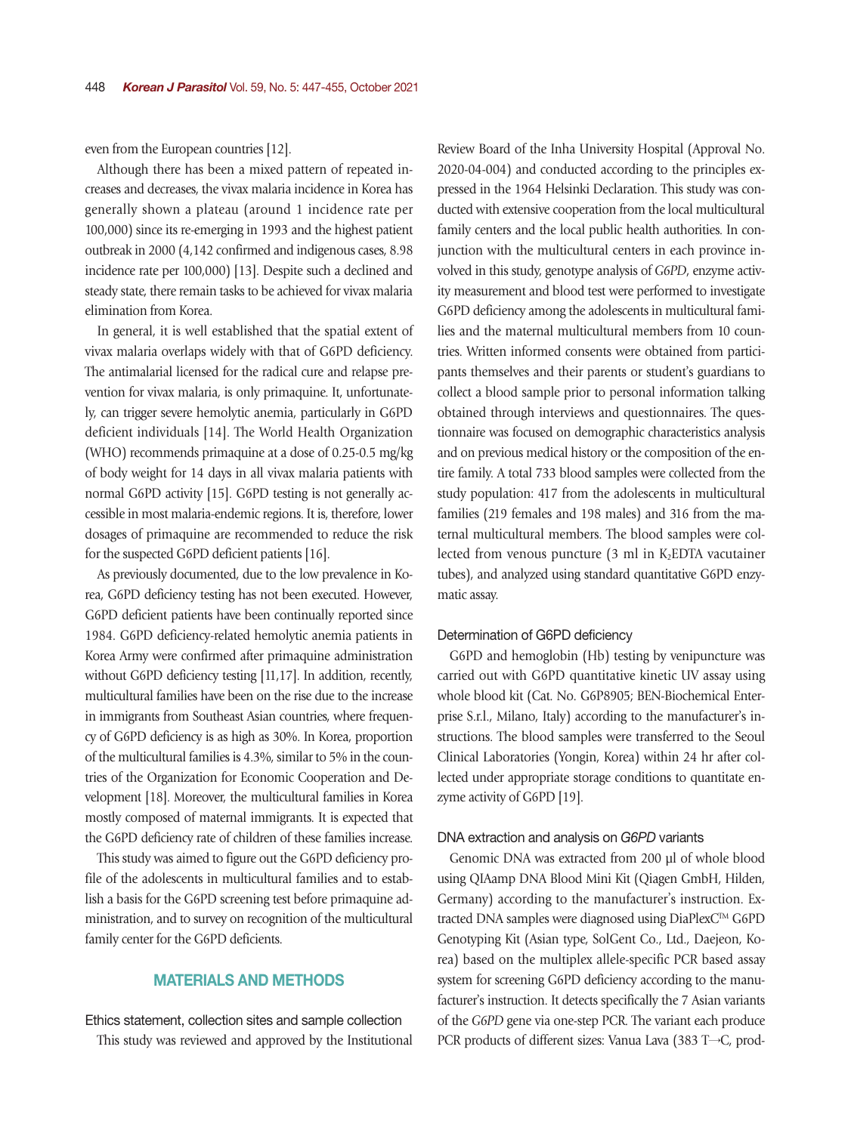even from the European countries [12].

Although there has been a mixed pattern of repeated increases and decreases, the vivax malaria incidence in Korea has generally shown a plateau (around 1 incidence rate per 100,000) since its re-emerging in 1993 and the highest patient outbreak in 2000 (4,142 confirmed and indigenous cases, 8.98 incidence rate per 100,000) [13]. Despite such a declined and steady state, there remain tasks to be achieved for vivax malaria elimination from Korea.

In general, it is well established that the spatial extent of vivax malaria overlaps widely with that of G6PD deficiency. The antimalarial licensed for the radical cure and relapse prevention for vivax malaria, is only primaquine. It, unfortunately, can trigger severe hemolytic anemia, particularly in G6PD deficient individuals [14]. The World Health Organization (WHO) recommends primaquine at a dose of 0.25-0.5 mg/kg of body weight for 14 days in all vivax malaria patients with normal G6PD activity [15]. G6PD testing is not generally accessible in most malaria-endemic regions. It is, therefore, lower dosages of primaquine are recommended to reduce the risk for the suspected G6PD deficient patients [16].

As previously documented, due to the low prevalence in Korea, G6PD deficiency testing has not been executed. However, G6PD deficient patients have been continually reported since 1984. G6PD deficiency-related hemolytic anemia patients in Korea Army were confirmed after primaquine administration without G6PD deficiency testing [11,17]. In addition, recently, multicultural families have been on the rise due to the increase in immigrants from Southeast Asian countries, where frequency of G6PD deficiency is as high as 30%. In Korea, proportion of the multicultural families is 4.3%, similar to 5% in the countries of the Organization for Economic Cooperation and Development [18]. Moreover, the multicultural families in Korea mostly composed of maternal immigrants. It is expected that the G6PD deficiency rate of children of these families increase.

This study was aimed to figure out the G6PD deficiency profile of the adolescents in multicultural families and to establish a basis for the G6PD screening test before primaquine administration, and to survey on recognition of the multicultural family center for the G6PD deficients.

# MATERIALS AND METHODS

Ethics statement, collection sites and sample collection This study was reviewed and approved by the Institutional

Review Board of the Inha University Hospital (Approval No. 2020-04-004) and conducted according to the principles expressed in the 1964 Helsinki Declaration. This study was conducted with extensive cooperation from the local multicultural family centers and the local public health authorities. In conjunction with the multicultural centers in each province involved in this study, genotype analysis of *G6PD*, enzyme activity measurement and blood test were performed to investigate G6PD deficiency among the adolescents in multicultural families and the maternal multicultural members from 10 countries. Written informed consents were obtained from participants themselves and their parents or student's guardians to collect a blood sample prior to personal information talking obtained through interviews and questionnaires. The questionnaire was focused on demographic characteristics analysis and on previous medical history or the composition of the entire family. A total 733 blood samples were collected from the study population: 417 from the adolescents in multicultural families (219 females and 198 males) and 316 from the maternal multicultural members. The blood samples were collected from venous puncture  $(3 \text{ ml in } K_2$ EDTA vacutainer tubes), and analyzed using standard quantitative G6PD enzymatic assay.

## Determination of G6PD deficiency

G6PD and hemoglobin (Hb) testing by venipuncture was carried out with G6PD quantitative kinetic UV assay using whole blood kit (Cat. No. G6P8905; BEN-Biochemical Enterprise S.r.l., Milano, Italy) according to the manufacturer's instructions. The blood samples were transferred to the Seoul Clinical Laboratories (Yongin, Korea) within 24 hr after collected under appropriate storage conditions to quantitate enzyme activity of G6PD [19].

## DNA extraction and analysis on *G6PD* variants

Genomic DNA was extracted from 200 µl of whole blood using QIAamp DNA Blood Mini Kit (Qiagen GmbH, Hilden, Germany) according to the manufacturer's instruction. Extracted DNA samples were diagnosed using DiaPlexCTM G6PD Genotyping Kit (Asian type, SolGent Co., Ltd., Daejeon, Korea) based on the multiplex allele-specific PCR based assay system for screening G6PD deficiency according to the manufacturer's instruction. It detects specifically the 7 Asian variants of the *G6PD* gene via one-step PCR. The variant each produce PCR products of different sizes: Vanua Lava (383 T→C, prod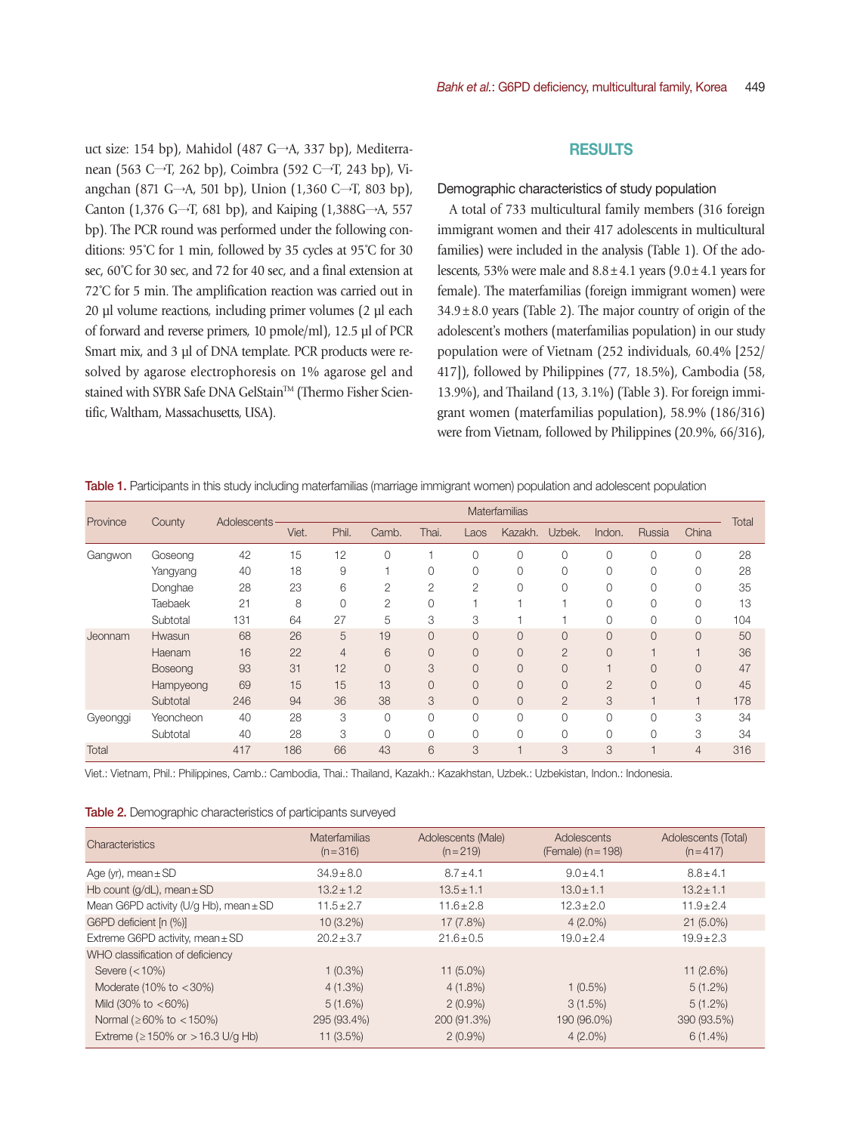uct size: 154 bp), Mahidol (487 G→A, 337 bp), Mediterranean (563 C→T, 262 bp), Coimbra (592 C→T, 243 bp), Viangchan (871 G→A, 501 bp), Union (1,360 C→T, 803 bp), Canton (1,376 G→T, 681 bp), and Kaiping (1,388G→A, 557 bp). The PCR round was performed under the following conditions: 95˚C for 1 min, followed by 35 cycles at 95˚C for 30 sec,  $60^{\circ}$ C for 30 sec, and 72 for 40 sec, and a final extension at 72˚C for 5 min. The amplification reaction was carried out in 20 µl volume reactions, including primer volumes (2 µl each of forward and reverse primers, 10 pmole/ml), 12.5 µl of PCR Smart mix, and 3 µl of DNA template. PCR products were resolved by agarose electrophoresis on 1% agarose gel and stained with SYBR Safe DNA GelStain™ (Thermo Fisher Scientific, Waltham, Massachusetts, USA).

## RESULTS

#### Demographic characteristics of study population

A total of 733 multicultural family members (316 foreign immigrant women and their 417 adolescents in multicultural families) were included in the analysis (Table 1). Of the adolescents, 53% were male and  $8.8 \pm 4.1$  years ( $9.0 \pm 4.1$  years for female). The materfamilias (foreign immigrant women) were  $34.9 \pm 8.0$  years (Table 2). The major country of origin of the adolescent's mothers (materfamilias population) in our study population were of Vietnam (252 individuals, 60.4% [252/ 417]), followed by Philippines (77, 18.5%), Cambodia (58, 13.9%), and Thailand (13, 3.1%) (Table 3). For foreign immigrant women (materfamilias population), 58.9% (186/316) were from Vietnam, followed by Philippines (20.9%, 66/316),

| Province | County         |                    |       | <b>Materfamilias</b> |                |                |                |          |                |                |                |                |       |
|----------|----------------|--------------------|-------|----------------------|----------------|----------------|----------------|----------|----------------|----------------|----------------|----------------|-------|
|          |                | <b>Adolescents</b> | Viet. | Phil.                | Camb.          | Thai.          | Laos           | Kazakh.  | Uzbek.         | Indon.         | Russia         | China          | Total |
| Gangwon  | Goseong        | 42                 | 15    | 12                   | $\Omega$       |                | 0              | 0        | 0              | 0              | 0              | 0              | 28    |
|          | Yangyang       | 40                 | 18    | 9                    |                | 0              | O              | 0        |                | 0              | 0              | 0              | 28    |
|          | Donghae        | 28                 | 23    | 6                    | $\overline{2}$ | 2              | $\overline{2}$ | $\Omega$ |                | $\Omega$       | 0              | 0              | 35    |
|          | <b>Taebaek</b> | 21                 | 8     | 0                    | 2              | $\Omega$       |                |          |                | $\Omega$       | $\Omega$       | 0              | 13    |
|          | Subtotal       | 131                | 64    | 27                   | 5              | 3              | 3              |          |                | 0              | 0              | 0              | 104   |
| Jeonnam  | Hwasun         | 68                 | 26    | 5                    | 19             | $\overline{0}$ | 0              | 0        | $\overline{0}$ | $\overline{0}$ | $\overline{0}$ | $\overline{0}$ | 50    |
|          | Haenam         | 16                 | 22    | $\overline{4}$       | 6              | $\overline{0}$ | $\overline{0}$ | 0        | $\overline{2}$ | $\overline{0}$ |                | $\overline{4}$ | 36    |
|          | Boseong        | 93                 | 31    | 12                   | $\overline{0}$ | 3              | $\overline{0}$ | 0        | 0              |                | $\overline{0}$ | $\overline{0}$ | 47    |
|          | Hampyeong      | 69                 | 15    | 15                   | 13             | $\overline{0}$ | O              | 0        |                | $\overline{2}$ | $\overline{0}$ | $\overline{0}$ | 45    |
|          | Subtotal       | 246                | 94    | 36                   | 38             | 3              | $\Omega$       | 0        | $\overline{2}$ | 3              |                | $\overline{4}$ | 178   |
| Gyeonggi | Yeoncheon      | 40                 | 28    | 3                    | $\Omega$       | 0              | 0              | 0        |                | $\Omega$       | $\Omega$       | 3              | 34    |
|          | Subtotal       | 40                 | 28    | 3                    |                | 0              | O              | 0        |                | 0              | 0              | 3              | 34    |
| Total    |                | 417                | 186   | 66                   | 43             | 6              | 3              |          | 3              | 3              |                | $\overline{4}$ | 316   |

Table 1. Participants in this study including materfamilias (marriage immigrant women) population and adolescent population

Viet.: Vietnam, Phil.: Philippines, Camb.: Cambodia, Thai.: Thailand, Kazakh.: Kazakhstan, Uzbek.: Uzbekistan, Indon.: Indonesia.

| <b>Table 2.</b> Demographic characteristics of participants surveyed |  |  |  |
|----------------------------------------------------------------------|--|--|--|
|                                                                      |  |  |  |

| Characteristics                            | <b>Materfamilias</b><br>$(n=316)$ | Adolescents (Male)<br>$(n=219)$ | Adolescents<br>(Female) $(n = 198)$ | Adolescents (Total)<br>$(n=417)$ |
|--------------------------------------------|-----------------------------------|---------------------------------|-------------------------------------|----------------------------------|
| Age (yr), mean $\pm$ SD                    | $34.9 \pm 8.0$                    | $8.7 + 4.1$                     | $9.0 + 4.1$                         | $8.8 + 4.1$                      |
| Hb count ( $q/dL$ ), mean $\pm$ SD         | $13.2 \pm 1.2$                    | $13.5 \pm 1.1$                  | $13.0 \pm 1.1$                      | $13.2 + 1.1$                     |
| Mean G6PD activity (U/g Hb), mean $\pm$ SD | $11.5 \pm 2.7$                    | $11.6 \pm 2.8$                  | $12.3 \pm 2.0$                      | $11.9 \pm 2.4$                   |
| G6PD deficient [n (%)]                     | $10(3.2\%)$                       | 17 (7.8%)                       | $4(2.0\%)$                          | $21(5.0\%)$                      |
| Extreme G6PD activity, mean $\pm$ SD       | $20.2 \pm 3.7$                    | $21.6 + 0.5$                    | $19.0 + 2.4$                        | $19.9 + 2.3$                     |
| WHO classification of deficiency           |                                   |                                 |                                     |                                  |
| Severe $(<10\%)$                           | $1(0.3\%)$                        | $11(5.0\%)$                     |                                     | $11(2.6\%)$                      |
| Moderate $(10\% \text{ to } < 30\%)$       | $4(1.3\%)$                        | $4(1.8\%)$                      | $1(0.5\%)$                          | $5(1.2\%)$                       |
| Mild $(30\% \text{ to } < 60\%)$           | $5(1.6\%)$                        | $2(0.9\%)$                      | 3(1.5%)                             | $5(1.2\%)$                       |
| Normal ( $\geq 60\%$ to $< 150\%$ )        | 295 (93.4%)                       | 200 (91.3%)                     | 190 (96.0%)                         | 390 (93.5%)                      |
| Extreme ( $\geq$ 150% or $>$ 16.3 U/g Hb)  | 11(3.5%)                          | $2(0.9\%)$                      | $4(2.0\%)$                          | $6(1.4\%)$                       |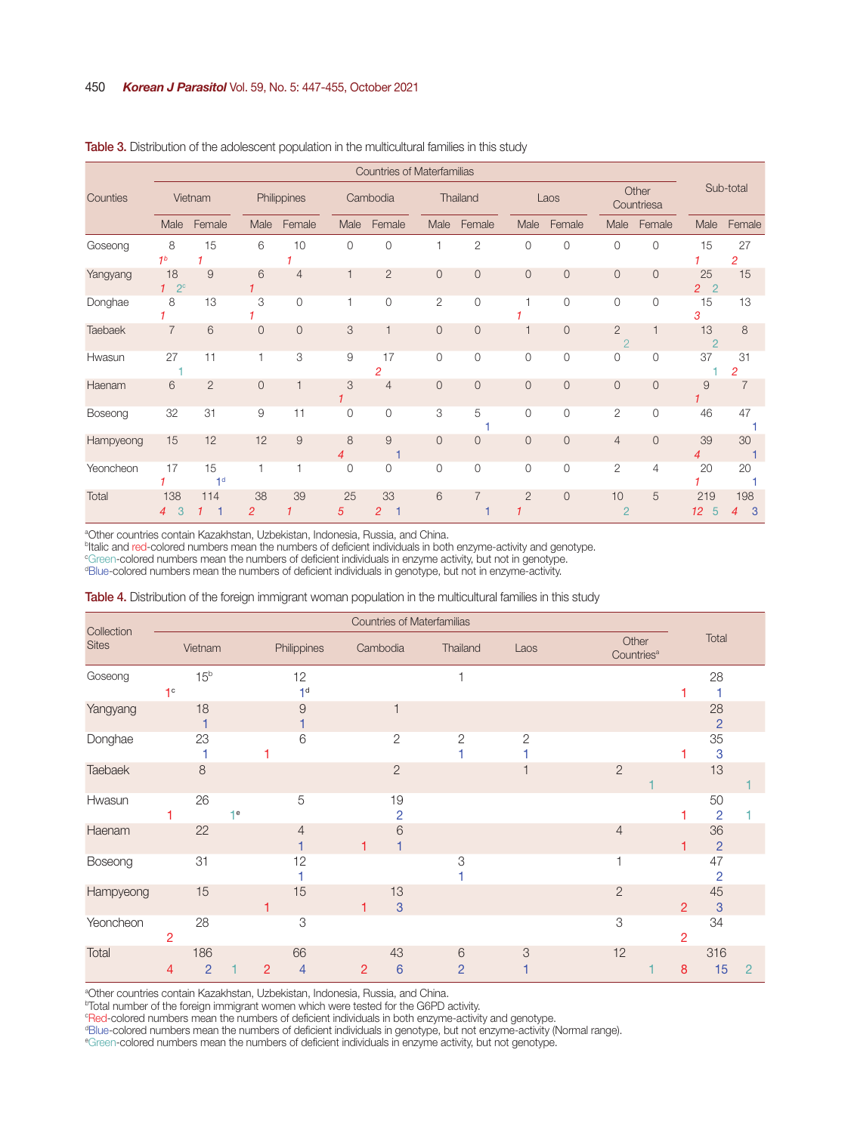| <b>Countries of Materfamilias</b> |                            |                      |                      |                |              |                      |                |                |                |                |                                  |                     |                                        |                |  |
|-----------------------------------|----------------------------|----------------------|----------------------|----------------|--------------|----------------------|----------------|----------------|----------------|----------------|----------------------------------|---------------------|----------------------------------------|----------------|--|
| Counties                          | Vietnam                    |                      | Philippines          |                |              | Cambodia             |                | Thailand       |                | Laos           |                                  | Other<br>Countriesa |                                        | Sub-total      |  |
|                                   | Male                       | Female               | Male                 | Female         | Male         | Female               | Male           | Female         | Male           | Female         | Male                             | Female              | Male                                   | Female         |  |
| Goseong                           | 8<br>1 <sup>b</sup>        | 15                   | 6                    | 10             | $\circ$      | $\mathbf{0}$         |                | 2              | $\mathbf{0}$   | $\circ$        | $\mathbf{0}$                     | $\mathbf{0}$        | 15                                     | 27<br>2        |  |
| Yangyang                          | 18<br>$1^{\circ}2^{\circ}$ | 9                    | 6                    | $\overline{4}$ | 1            | $\overline{2}$       | $\overline{0}$ | 0              | $\mathbf{0}$   | $\theta$       | $\mathbf 0$                      | $\overline{0}$      | 25<br>$\overline{2}$<br>$\overline{2}$ | 15             |  |
| Donghae                           | 8                          | 13                   | 3                    | $\mathbf{0}$   |              | 0                    | 2              | 0              | 1              | $\Omega$       | 0                                | $\mathbf 0$         | 15<br>3                                | 13             |  |
| Taebaek                           | $\overline{7}$             | 6                    | $\overline{0}$       | $\overline{0}$ | 3            |                      | $\overline{0}$ | 0              |                | $\overline{0}$ | $\overline{2}$<br>$\overline{2}$ |                     | 13<br>$\overline{2}$                   | 8              |  |
| Hwasun                            | 27                         | 11                   | 1                    | 3              | 9            | 17<br>$\overline{c}$ | $\Omega$       | 0              | 0              | $\Omega$       | 0                                | $\overline{0}$      | 37                                     | 31<br>2        |  |
| Haenam                            | 6                          | $\overline{2}$       | $\overline{0}$       | $\overline{1}$ | 3            | $\overline{4}$       | $\Omega$       | 0              | $\overline{0}$ | $\overline{0}$ | $\overline{0}$                   | $\overline{0}$      | 9                                      | $\overline{7}$ |  |
| Boseong                           | 32                         | 31                   | 9                    | 11             | $\Omega$     | $\overline{0}$       | 3              | 5              | $\overline{0}$ | $\mathbf{0}$   | $\overline{2}$                   | $\overline{0}$      | 46                                     | 47             |  |
| Hampyeong                         | 15                         | 12                   | 12                   | 9              | 8<br>4       | 9                    | $\Omega$       | $\overline{O}$ | $\overline{0}$ | $\Omega$       | $\overline{4}$                   | $\overline{0}$      | 39<br>4                                | 30             |  |
| Yeoncheon                         | 17                         | 15<br>1 <sup>d</sup> | 1                    | 1              | $\mathbf{0}$ | $\mathbf{0}$         | $\overline{0}$ | 0              | 0              | $\circ$        | $\mathbf{2}$                     | 4                   | 20                                     | 20             |  |
| Total                             | 138<br>3<br>4              | 114                  | 38<br>$\overline{2}$ | 39             | 25<br>5      | 33<br>$\overline{2}$ | 6              | 7              | $\overline{2}$ | $\overline{0}$ | 10<br>$\overline{2}$             | 5                   | 219<br>12 <sup>2</sup><br>5            | 198<br>3<br>4  |  |

#### Table 3. Distribution of the adolescent population in the multicultural families in this study

<sup>a</sup>Other countries contain Kazakhstan, Uzbekistan, Indonesia, Russia, and China.

<sup>b</sup>Italic and red-colored numbers mean the numbers of deficient individuals in both enzyme-activity and genotype.

c Green-colored numbers mean the numbers of deficient individuals in enzyme activity, but not in genotype.

d Blue-colored numbers mean the numbers of deficient individuals in genotype, but not in enzyme-activity.

#### Table 4. Distribution of the foreign immigrant woman population in the multicultural families in this study

|                            |                |                       | <b>Countries of Materfamilias</b> |   |                      |                |                       |                     |                |                |                                 |                  |                      |                |
|----------------------------|----------------|-----------------------|-----------------------------------|---|----------------------|----------------|-----------------------|---------------------|----------------|----------------|---------------------------------|------------------|----------------------|----------------|
| Collection<br><b>Sites</b> |                | Vietnam               |                                   |   | Philippines          |                | Cambodia              | Thailand            | Laos           |                | Other<br>Countries <sup>a</sup> |                  | Total                |                |
| Goseong                    | 1 <sup>c</sup> | 15 <sup>b</sup>       |                                   |   | 12<br>1 <sup>d</sup> |                |                       |                     |                |                |                                 |                  | 28                   |                |
| Yangyang                   |                | 18                    |                                   |   | 9                    |                |                       |                     |                |                |                                 |                  | 28<br>$\overline{2}$ |                |
| Donghae                    |                | 23                    |                                   |   | 6                    |                | $\mathbf{2}$          | $\overline{2}$      | $\overline{2}$ |                |                                 |                  | 35<br>3              |                |
| Taebaek                    |                | 8                     |                                   |   |                      |                | $\overline{2}$        |                     |                | $\overline{2}$ |                                 |                  | 13                   |                |
| Hwasun                     |                | 26                    | $\mathbf{+e}$                     |   | 5                    |                | 19<br>$\overline{2}$  |                     |                |                |                                 |                  | 50<br>$\overline{2}$ |                |
| Haenam                     |                | 22                    |                                   |   | $\overline{4}$       |                | 6                     |                     |                | $\overline{4}$ |                                 |                  | 36<br>$\overline{2}$ |                |
| Boseong                    |                | 31                    |                                   |   | 12                   |                |                       | 3                   |                |                |                                 |                  | 47<br>$\overline{2}$ |                |
| Hampyeong                  |                | 15                    |                                   |   | 15                   |                | 13<br>3               |                     |                | $\overline{2}$ |                                 | 2                | 45<br>$\mathbf{3}$   |                |
| Yeoncheon                  | 2              | 28                    |                                   |   | 3                    |                |                       |                     |                | 3              |                                 | $\overline{2}$   | 34                   |                |
| Total                      | 4              | 186<br>$\overline{2}$ |                                   | 2 | 66<br>$\overline{4}$ | $\overline{2}$ | 43<br>$6\phantom{1}6$ | 6<br>$\overline{2}$ | 3              | 12             |                                 | $\boldsymbol{8}$ | 316<br>15            | $\overline{2}$ |

<sup>a</sup>Other countries contain Kazakhstan, Uzbekistan, Indonesia, Russia, and China.

<sup>ь</sup>Total number of the foreign immigrant women which were tested for the G6PD activity.<br>°Red-colored numbers mean the numbers of deficient individuals in both enzyme-activity and genotype.

d Blue-colored numbers mean the numbers of deficient individuals in genotype, but not enzyme-activity (Normal range).

e Green-colored numbers mean the numbers of deficient individuals in enzyme activity, but not genotype.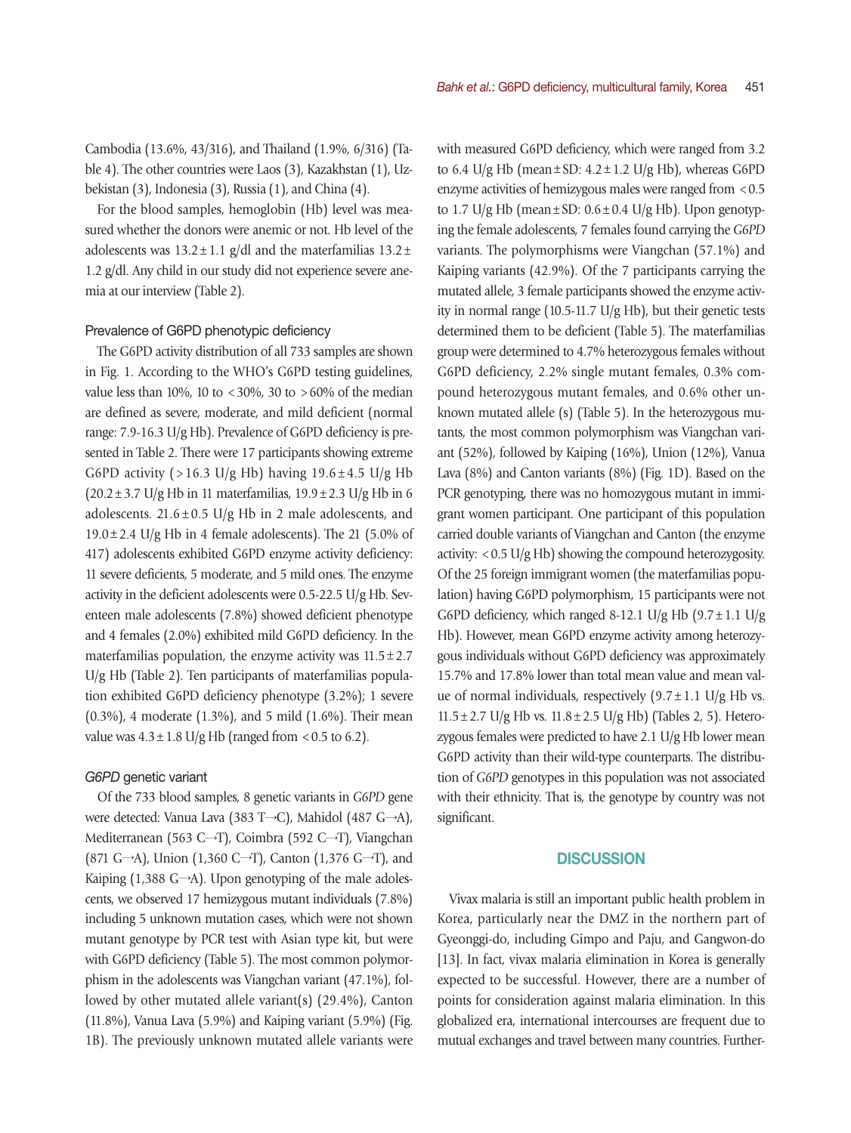Cambodia (13.6%, 43/316), and Thailand (1.9%, 6/316) (Table 4). The other countries were Laos (3), Kazakhstan (1), Uzbekistan (3), Indonesia (3), Russia (1), and China (4).

For the blood samples, hemoglobin (Hb) level was measured whether the donors were anemic or not. Hb level of the adolescents was  $13.2 \pm 1.1$  g/dl and the materfamilias  $13.2 \pm 1.1$ 1.2 g/dl. Any child in our study did not experience severe anemia at our interview (Table 2).

## Prevalence of G6PD phenotypic deficiency

The G6PD activity distribution of all 733 samples are shown in Fig. 1. According to the WHO's G6PD testing guidelines, value less than 10%, 10 to <30%, 30 to >60% of the median are defined as severe, moderate, and mild deficient (normal range: 7.9-16.3 U/g Hb). Prevalence of G6PD deficiency is presented in Table 2. There were 17 participants showing extreme G6PD activity (>16.3 U/g Hb) having  $19.6 \pm 4.5$  U/g Hb  $(20.2 \pm 3.7 \text{ U/g Hb in 11 materials, } 19.9 \pm 2.3 \text{ U/g Hb in 6})$ adolescents.  $21.6 \pm 0.5$  U/g Hb in 2 male adolescents, and  $19.0 \pm 2.4$  U/g Hb in 4 female adolescents). The 21 (5.0% of 417) adolescents exhibited G6PD enzyme activity deficiency: 11 severe deficients, 5 moderate, and 5 mild ones. The enzyme activity in the deficient adolescents were 0.5-22.5 U/g Hb. Seventeen male adolescents (7.8%) showed deficient phenotype and 4 females (2.0%) exhibited mild G6PD deficiency. In the materfamilias population, the enzyme activity was  $11.5 \pm 2.7$ U/g Hb (Table 2). Ten participants of materfamilias population exhibited G6PD deficiency phenotype (3.2%); 1 severe (0.3%), 4 moderate (1.3%), and 5 mild (1.6%). Their mean value was  $4.3 \pm 1.8$  U/g Hb (ranged from <0.5 to 6.2).

### *G6PD* genetic variant

Of the 733 blood samples, 8 genetic variants in *G6PD* gene were detected: Vanua Lava (383 T→C), Mahidol (487 G→A), Mediterranean (563 C→T), Coimbra (592 C→T), Viangchan (871 G→A), Union (1,360 C→T), Canton (1,376 G→T), and Kaiping (1,388 G→A). Upon genotyping of the male adolescents, we observed 17 hemizygous mutant individuals (7.8%) including 5 unknown mutation cases, which were not shown mutant genotype by PCR test with Asian type kit, but were with G6PD deficiency (Table 5). The most common polymorphism in the adolescents was Viangchan variant (47.1%), followed by other mutated allele variant(s) (29.4%), Canton (11.8%), Vanua Lava (5.9%) and Kaiping variant (5.9%) (Fig. 1B). The previously unknown mutated allele variants were with measured G6PD deficiency, which were ranged from 3.2 to 6.4 U/g Hb (mean  $\pm$  SD: 4.2  $\pm$  1.2 U/g Hb), whereas G6PD enzyme activities of hemizygous males were ranged from  $< 0.5$ to 1.7 U/g Hb (mean  $\pm$  SD: 0.6  $\pm$  0.4 U/g Hb). Upon genotyping the female adolescents, 7 females found carrying the *G6PD* variants. The polymorphisms were Viangchan (57.1%) and Kaiping variants (42.9%). Of the 7 participants carrying the mutated allele, 3 female participants showed the enzyme activity in normal range (10.5-11.7 U/g Hb), but their genetic tests determined them to be deficient (Table 5). The materfamilias group were determined to 4.7% heterozygous females without G6PD deficiency, 2.2% single mutant females, 0.3% compound heterozygous mutant females, and 0.6% other unknown mutated allele (s) (Table 5). In the heterozygous mutants, the most common polymorphism was Viangchan variant (52%), followed by Kaiping (16%), Union (12%), Vanua Lava (8%) and Canton variants (8%) (Fig. 1D). Based on the PCR genotyping, there was no homozygous mutant in immigrant women participant. One participant of this population carried double variants of Viangchan and Canton (the enzyme activity:  $<$  0.5 U/g Hb) showing the compound heterozygosity. Of the 25 foreign immigrant women (the materfamilias population) having G6PD polymorphism, 15 participants were not G6PD deficiency, which ranged 8-12.1 U/g Hb  $(9.7 \pm 1.1 \text{ U/g})$ Hb). However, mean G6PD enzyme activity among heterozygous individuals without G6PD deficiency was approximately 15.7% and 17.8% lower than total mean value and mean value of normal individuals, respectively  $(9.7 \pm 1.1 \text{ U/g Hb vs.})$  $11.5 \pm 2.7$  U/g Hb vs.  $11.8 \pm 2.5$  U/g Hb) (Tables 2, 5). Heterozygous females were predicted to have 2.1 U/g Hb lower mean G6PD activity than their wild-type counterparts. The distribution of *G6PD* genotypes in this population was not associated with their ethnicity. That is, the genotype by country was not significant.

# **DISCUSSION**

Vivax malaria is still an important public health problem in Korea, particularly near the DMZ in the northern part of Gyeonggi-do, including Gimpo and Paju, and Gangwon-do [13]. In fact, vivax malaria elimination in Korea is generally expected to be successful. However, there are a number of points for consideration against malaria elimination. In this globalized era, international intercourses are frequent due to mutual exchanges and travel between many countries. Further-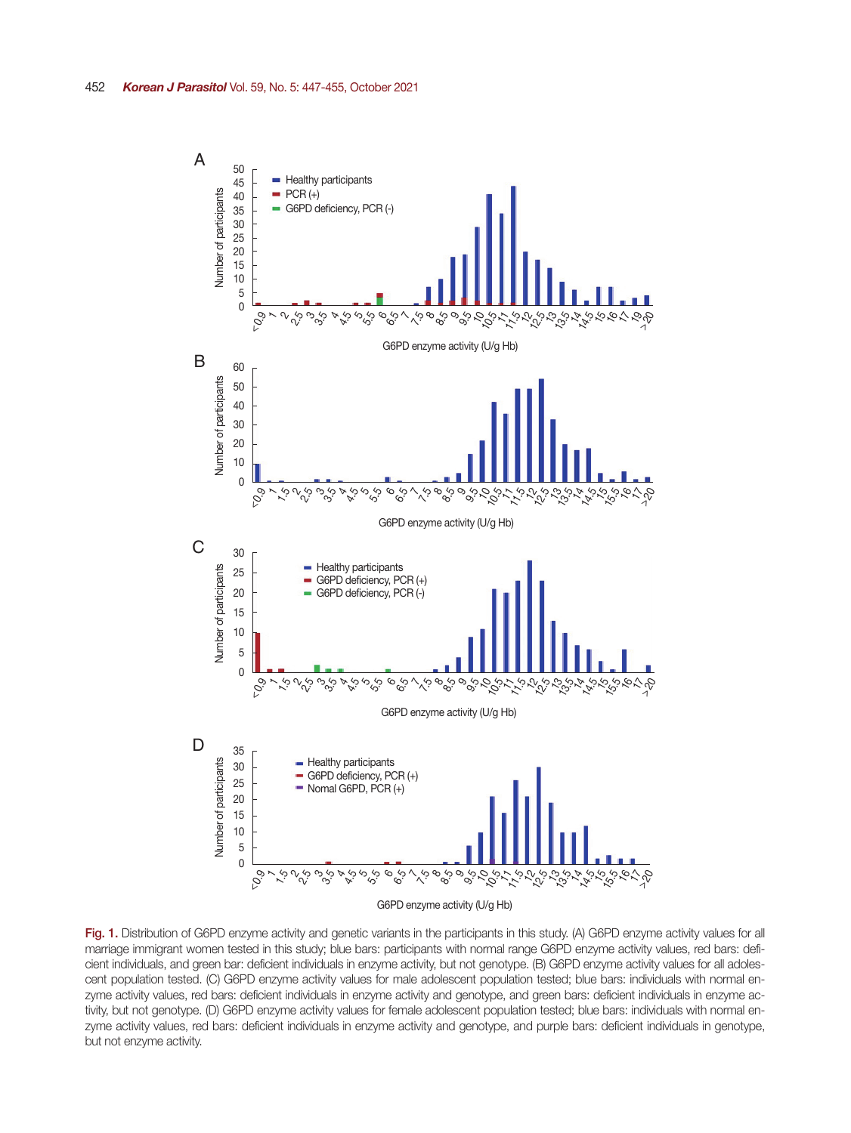

Fig. 1. Distribution of G6PD enzyme activity and genetic variants in the participants in this study. (A) G6PD enzyme activity values for all marriage immigrant women tested in this study; blue bars: participants with normal range G6PD enzyme activity values, red bars: deficient individuals, and green bar: deficient individuals in enzyme activity, but not genotype. (B) G6PD enzyme activity values for all adolescent population tested. (C) G6PD enzyme activity values for male adolescent population tested; blue bars: individuals with normal enzyme activity values, red bars: deficient individuals in enzyme activity and genotype, and green bars: deficient individuals in enzyme activity, but not genotype. (D) G6PD enzyme activity values for female adolescent population tested; blue bars: individuals with normal enzyme activity values, red bars: deficient individuals in enzyme activity and genotype, and purple bars: deficient individuals in genotype, but not enzyme activity.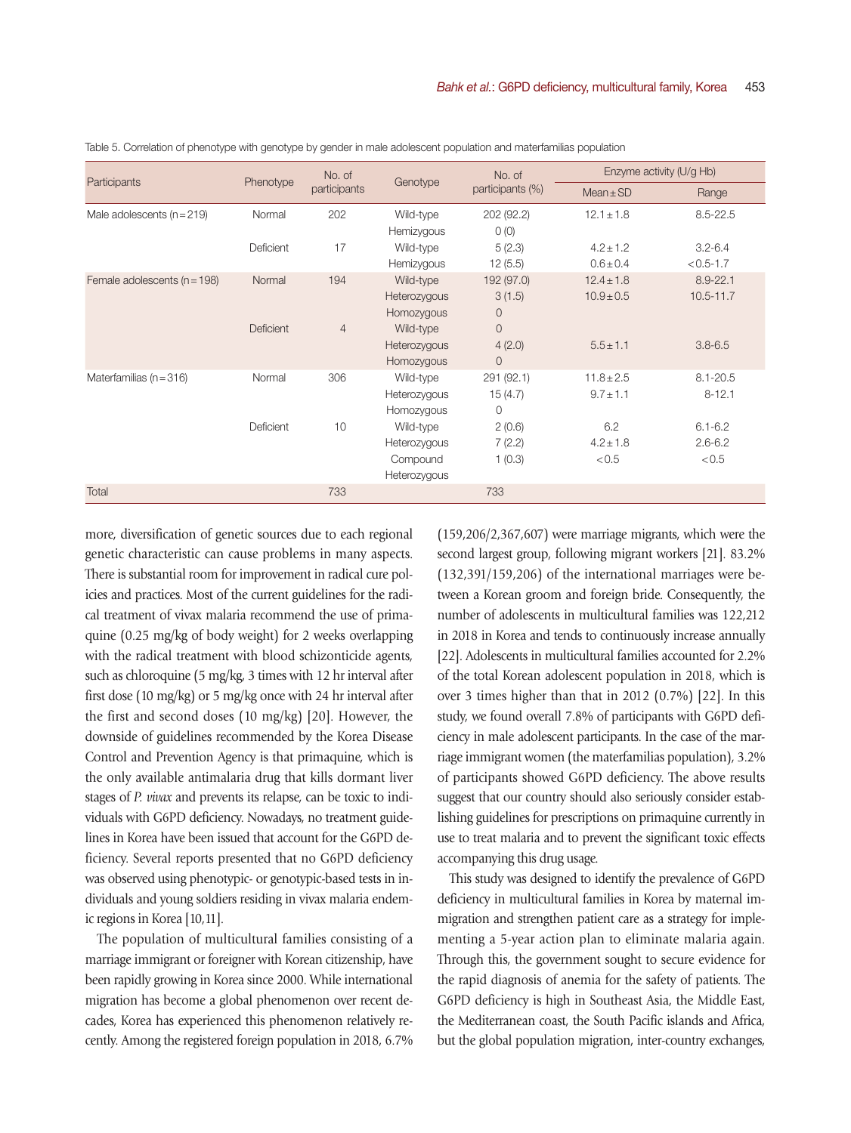|                                  |           | No. of         |              | No. of           | Enzyme activity (U/g Hb) |               |  |  |
|----------------------------------|-----------|----------------|--------------|------------------|--------------------------|---------------|--|--|
| Participants                     | Phenotype | participants   | Genotype     | participants (%) | $Mean \pm SD$            | Range         |  |  |
| Male adolescents $(n = 219)$     | Normal    | 202            | Wild-type    | 202 (92.2)       | $12.1 \pm 1.8$           | $8.5 - 22.5$  |  |  |
|                                  |           |                | Hemizygous   | O(0)             |                          |               |  |  |
|                                  | Deficient | 17             | Wild-type    | 5(2.3)           | $4.2 \pm 1.2$            | $3.2 - 6.4$   |  |  |
|                                  |           |                | Hemizygous   | 12(5.5)          | $0.6 \pm 0.4$            | $< 0.5 - 1.7$ |  |  |
| Female adolescents ( $n = 198$ ) | Normal    | 194            | Wild-type    | 192 (97.0)       | $12.4 \pm 1.8$           | $8.9 - 22.1$  |  |  |
|                                  |           |                | Heterozygous | 3(1.5)           | $10.9 \pm 0.5$           | $10.5 - 11.7$ |  |  |
|                                  |           |                | Homozygous   | $\overline{0}$   |                          |               |  |  |
|                                  | Deficient | $\overline{4}$ | Wild-type    | $\Omega$         |                          |               |  |  |
|                                  |           |                | Heterozygous | 4(2.0)           | $5.5 \pm 1.1$            | $3.8 - 6.5$   |  |  |
|                                  |           |                | Homozygous   | $\overline{0}$   |                          |               |  |  |
| Materfamilias ( $n = 316$ )      | Normal    | 306            | Wild-type    | 291 (92.1)       | $11.8 \pm 2.5$           | $8.1 - 20.5$  |  |  |
|                                  |           |                | Heterozygous | 15(4.7)          | $9.7 \pm 1.1$            | $8 - 12.1$    |  |  |
|                                  |           |                | Homozygous   | $\mathbf{0}$     |                          |               |  |  |
|                                  | Deficient | 10             | Wild-type    | 2(0.6)           | 6.2                      | $6.1 - 6.2$   |  |  |
|                                  |           |                | Heterozygous | 7(2.2)           | $4.2 \pm 1.8$            | $2.6 - 6.2$   |  |  |
|                                  |           |                | Compound     | 1(0.3)           | < 0.5                    | < 0.5         |  |  |
|                                  |           |                | Heterozygous |                  |                          |               |  |  |
| Total                            |           | 733            |              | 733              |                          |               |  |  |

Table 5. Correlation of phenotype with genotype by gender in male adolescent population and materfamilias population

more, diversification of genetic sources due to each regional genetic characteristic can cause problems in many aspects. There is substantial room for improvement in radical cure policies and practices. Most of the current guidelines for the radical treatment of vivax malaria recommend the use of primaquine (0.25 mg/kg of body weight) for 2 weeks overlapping with the radical treatment with blood schizonticide agents, such as chloroquine (5 mg/kg, 3 times with 12 hr interval after first dose (10 mg/kg) or 5 mg/kg once with 24 hr interval after the first and second doses (10 mg/kg) [20]. However, the downside of guidelines recommended by the Korea Disease Control and Prevention Agency is that primaquine, which is the only available antimalaria drug that kills dormant liver stages of *P. vivax* and prevents its relapse, can be toxic to individuals with G6PD deficiency. Nowadays, no treatment guidelines in Korea have been issued that account for the G6PD deficiency. Several reports presented that no G6PD deficiency was observed using phenotypic- or genotypic-based tests in individuals and young soldiers residing in vivax malaria endemic regions in Korea [10,11].

The population of multicultural families consisting of a marriage immigrant or foreigner with Korean citizenship, have been rapidly growing in Korea since 2000. While international migration has become a global phenomenon over recent decades, Korea has experienced this phenomenon relatively recently. Among the registered foreign population in 2018, 6.7% (159,206/2,367,607) were marriage migrants, which were the second largest group, following migrant workers [21]. 83.2% (132,391/159,206) of the international marriages were between a Korean groom and foreign bride. Consequently, the number of adolescents in multicultural families was 122,212 in 2018 in Korea and tends to continuously increase annually [22]. Adolescents in multicultural families accounted for 2.2% of the total Korean adolescent population in 2018, which is over 3 times higher than that in 2012 (0.7%) [22]. In this study, we found overall 7.8% of participants with G6PD deficiency in male adolescent participants. In the case of the marriage immigrant women (the materfamilias population), 3.2% of participants showed G6PD deficiency. The above results suggest that our country should also seriously consider establishing guidelines for prescriptions on primaquine currently in use to treat malaria and to prevent the significant toxic effects accompanying this drug usage.

This study was designed to identify the prevalence of G6PD deficiency in multicultural families in Korea by maternal immigration and strengthen patient care as a strategy for implementing a 5-year action plan to eliminate malaria again. Through this, the government sought to secure evidence for the rapid diagnosis of anemia for the safety of patients. The G6PD deficiency is high in Southeast Asia, the Middle East, the Mediterranean coast, the South Pacific islands and Africa, but the global population migration, inter-country exchanges,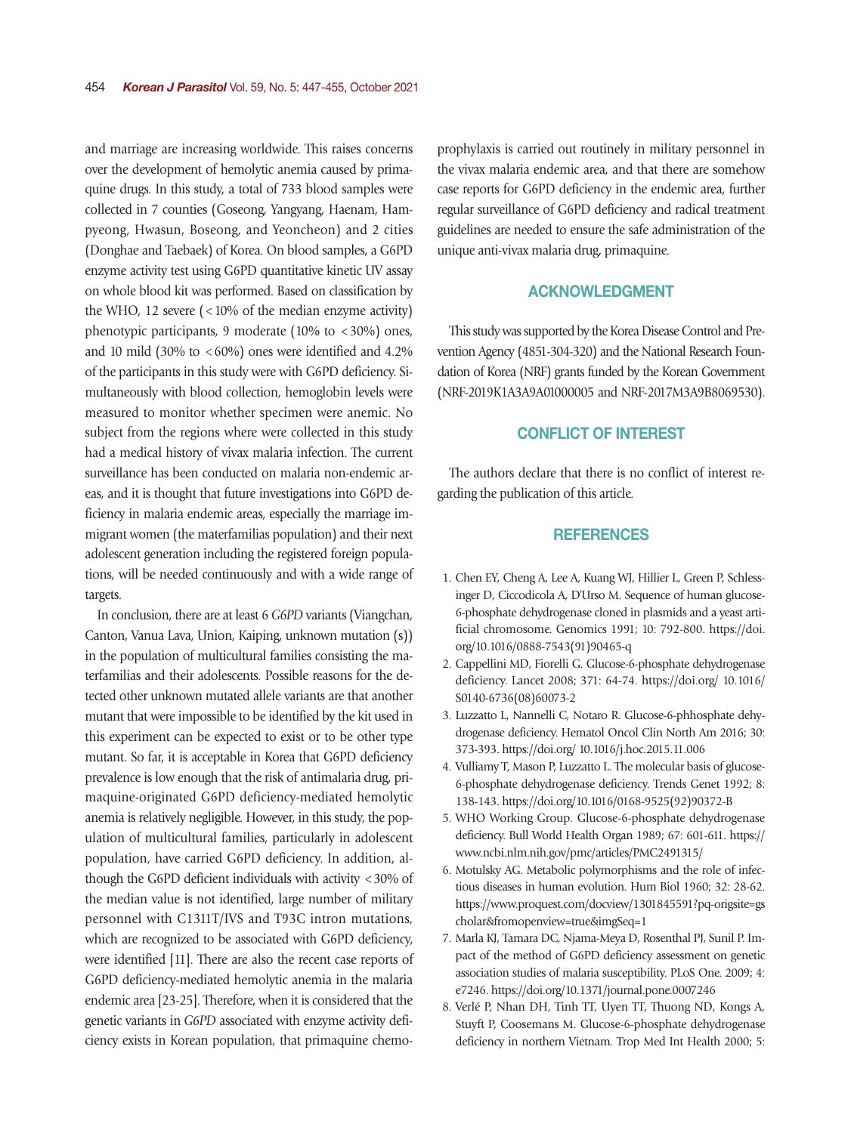and marriage are increasing worldwide. This raises concerns over the development of hemolytic anemia caused by primaquine drugs. In this study, a total of 733 blood samples were collected in 7 counties (Goseong, Yangyang, Haenam, Hampyeong, Hwasun, Boseong, and Yeoncheon) and 2 cities (Donghae and Taebaek) of Korea. On blood samples, a G6PD enzyme activity test using G6PD quantitative kinetic UV assay on whole blood kit was performed. Based on classification by the WHO, 12 severe  $\left($  < 10% of the median enzyme activity) phenotypic participants, 9 moderate (10% to  $\langle 30\% \rangle$ ) ones, and 10 mild (30% to  $\leq 60\%$ ) ones were identified and 4.2% of the participants in this study were with G6PD deficiency. Simultaneously with blood collection, hemoglobin levels were measured to monitor whether specimen were anemic. No subject from the regions where were collected in this study had a medical history of vivax malaria infection. The current surveillance has been conducted on malaria non-endemic areas, and it is thought that future investigations into G6PD deficiency in malaria endemic areas, especially the marriage immigrant women (the materfamilias population) and their next adolescent generation including the registered foreign populations, will be needed continuously and with a wide range of targets.

In conclusion, there are at least 6 *G6PD* variants (Viangchan, Canton, Vanua Lava, Union, Kaiping, unknown mutation (s)) in the population of multicultural families consisting the materfamilias and their adolescents. Possible reasons for the detected other unknown mutated allele variants are that another mutant that were impossible to be identified by the kit used in this experiment can be expected to exist or to be other type mutant. So far, it is acceptable in Korea that G6PD deficiency prevalence is low enough that the risk of antimalaria drug, primaquine-originated G6PD deficiency-mediated hemolytic anemia is relatively negligible. However, in this study, the population of multicultural families, particularly in adolescent population, have carried G6PD deficiency. In addition, although the G6PD deficient individuals with activity <30% of the median value is not identified, large number of military personnel with C1311T/IVS and T93C intron mutations, which are recognized to be associated with G6PD deficiency, were identified [11]. There are also the recent case reports of G6PD deficiency-mediated hemolytic anemia in the malaria endemic area [23-25]. Therefore, when it is considered that the genetic variants in *G6PD* associated with enzyme activity deficiency exists in Korean population, that primaquine chemoprophylaxis is carried out routinely in military personnel in the vivax malaria endemic area, and that there are somehow case reports for G6PD deficiency in the endemic area, further regular surveillance of G6PD deficiency and radical treatment guidelines are needed to ensure the safe administration of the unique anti-vivax malaria drug, primaquine.

# ACKNOWLEDGMENT

This study was supported by the Korea Disease Control and Prevention Agency (4851-304-320) and the National Research Foundation of Korea (NRF) grants funded by the Korean Government (NRF-2019K1A3A9A01000005 and NRF-2017M3A9B8069530).

# CONFLICT OF INTEREST

The authors declare that there is no conflict of interest regarding the publication of this article.

## **REFERENCES**

- 1. Chen EY, Cheng A, Lee A, Kuang WJ, Hillier L, Green P, Schlessinger D, Ciccodicola A, D'Urso M. Sequence of human glucose-6-phosphate dehydrogenase cloned in plasmids and a yeast artificial chromosome. Genomics 1991; 10: 792-800. https://doi. org/10.1016/0888-7543(91)90465-q
- 2. Cappellini MD, Fiorelli G. Glucose-6-phosphate dehydrogenase deficiency. Lancet 2008; 371: 64-74. https://doi.org/ 10.1016/ S0140-6736(08)60073-2
- 3. Luzzatto L, Nannelli C, Notaro R. Glucose-6-phhosphate dehydrogenase deficiency. Hematol Oncol Clin North Am 2016; 30: 373-393. https://doi.org/ 10.1016/j.hoc.2015.11.006
- 4. Vulliamy T, Mason P, Luzzatto L. The molecular basis of glucose-6-phosphate dehydrogenase deficiency. Trends Genet 1992; 8: 138-143. https://doi.org/10.1016/0168-9525(92)90372-B
- 5. WHO Working Group. Glucose-6-phosphate dehydrogenase deficiency. Bull World Health Organ 1989; 67: 601-611. https:// www.ncbi.nlm.nih.gov/pmc/articles/PMC2491315/
- 6. Motulsky AG. Metabolic polymorphisms and the role of infectious diseases in human evolution. Hum Biol 1960; 32: 28-62. https://www.proquest.com/docview/1301845591?pq-origsite=gs cholar&fromopenview=true&imgSeq=1
- 7. Marla KJ, Tamara DC, Njama-Meya D, Rosenthal PJ, Sunil P. Impact of the method of G6PD deficiency assessment on genetic association studies of malaria susceptibility. PLoS One. 2009; 4: e7246. https://doi.org/10.1371/journal.pone.0007246
- 8. Verlé P, Nhan DH, Tinh TT, Uyen TT, Thuong ND, Kongs A, Stuyft P, Coosemans M. Glucose-6-phosphate dehydrogenase deficiency in northern Vietnam. Trop Med Int Health 2000; 5: